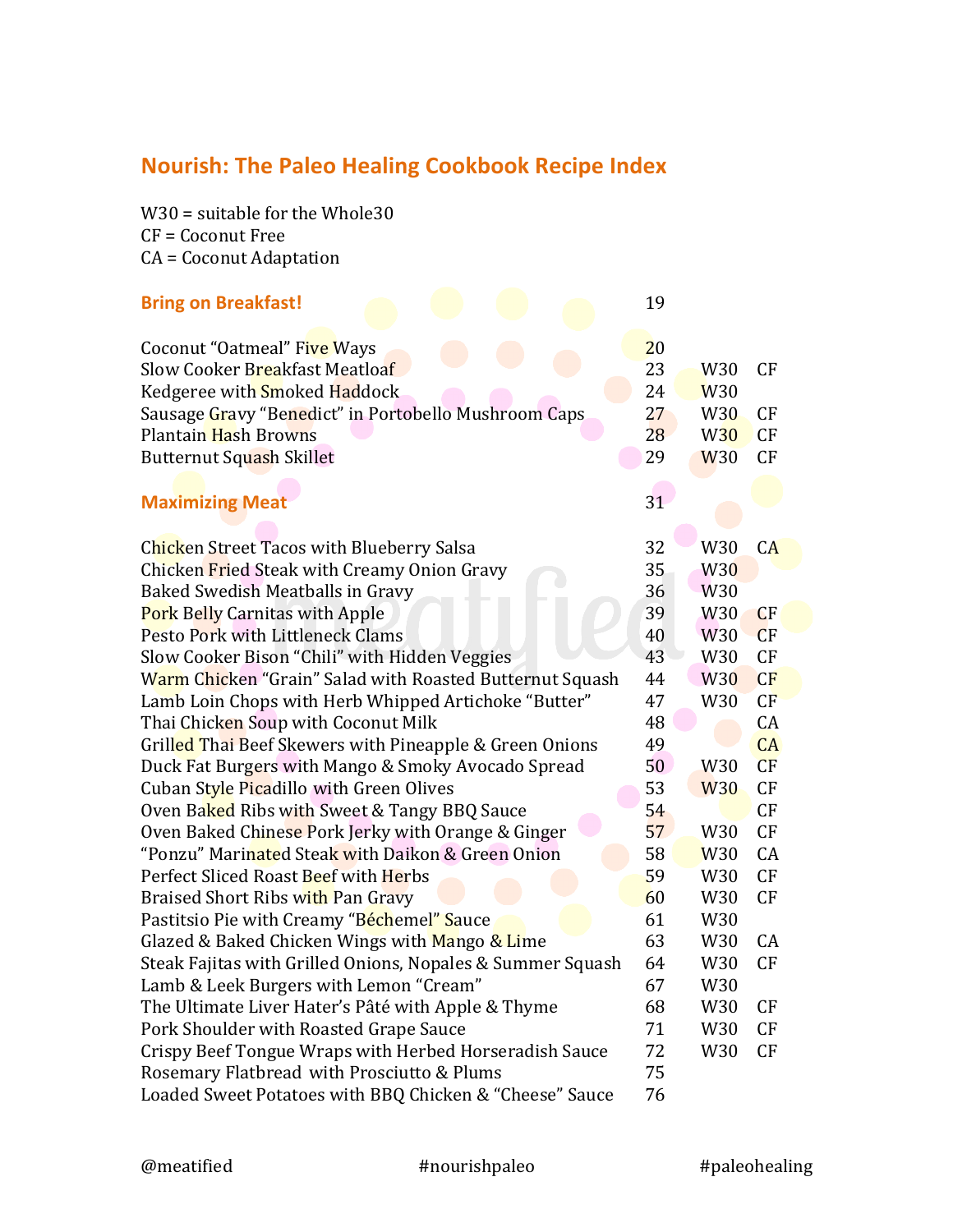## **Nourish: The Paleo Healing Cookbook Recipe Index**

 $W30 =$  suitable for the Whole30  $CF = Coconvt$  Free CA = Coconut Adaptation

| <b>Bring on Breakfast!</b>                                 | 19 |                 |    |
|------------------------------------------------------------|----|-----------------|----|
| Coconut "Oatmeal" Five Ways                                | 20 |                 |    |
| Slow Cooker Breakfast Meatloaf                             | 23 | W <sub>30</sub> | CF |
| Kedgeree with Smoked Haddock                               | 24 | <b>W30</b>      |    |
| Sausage Gravy "Benedict" in Portobello Mushroom Caps       | 27 | W <sub>30</sub> | CF |
| <b>Plantain Hash Browns</b>                                | 28 | <b>W30</b>      | CF |
| Butternut Squash Skillet                                   | 29 | <b>W30</b>      | CF |
|                                                            |    |                 |    |
| <b>Maximizing Meat</b>                                     | 31 |                 |    |
|                                                            |    |                 |    |
| Chicken Street Tacos with Blueberry Salsa                  | 32 | W30             | CA |
| Chicken Fried Steak with Creamy Onion Gravy                | 35 | <b>W30</b>      |    |
| Baked Swedish Meatballs in Gravy                           | 36 | W <sub>30</sub> |    |
| <b>Pork Belly Carnitas with Apple</b>                      | 39 | W <sub>30</sub> | CF |
| Pesto Pork with Littleneck Clams                           | 40 | W <sub>30</sub> | CF |
| Slow Cooker Bison "Chili" with Hidden Veggies              | 43 | W30             | CF |
| Warm Chicken "Grain" Salad with Roasted Butternut Squash   | 44 | <b>W30</b>      | CF |
| Lamb Loin Chops with Herb Whipped Artichoke "Butter"       | 47 | W30             | CF |
| Thai Chicken Soup with Coconut Milk                        | 48 |                 | CA |
| Grilled Thai Beef Skewers with Pineapple & Green Onions    | 49 |                 | CA |
| Duck Fat Burgers with Mango & Smoky Avocado Spread         | 50 | W <sub>30</sub> | CF |
| Cuban Style Picadillo with Green Olives                    | 53 | <b>W30</b>      | CF |
| Oven Baked Ribs with Sweet & Tangy BBQ Sauce               | 54 |                 | CF |
| Oven Baked Chinese Pork Jerky with Orange & Ginger         | 57 | W30             | CF |
| "Ponzu" Marinated Steak with Daikon & Green Onion          | 58 | W <sub>30</sub> | CA |
| Perfect Sliced Roast Beef with Herbs                       | 59 | W30             | CF |
| Braised Short Ribs with Pan Gravy                          | 60 | W30             | CF |
| Pastitsio Pie with Creamy "Béchemel" Sauce                 | 61 | W30             |    |
| Glazed & Baked Chicken Wings with Mango & Lime             | 63 | W30             | CA |
| Steak Fajitas with Grilled Onions, Nopales & Summer Squash | 64 | W30             | CF |
| Lamb & Leek Burgers with Lemon "Cream"                     | 67 | W30             |    |
| The Ultimate Liver Hater's Pâté with Apple & Thyme         | 68 | W30             | CF |
| Pork Shoulder with Roasted Grape Sauce                     | 71 | W30             | CF |
| Crispy Beef Tongue Wraps with Herbed Horseradish Sauce     | 72 | W30             | CF |
| Rosemary Flatbread with Prosciutto & Plums                 | 75 |                 |    |
| Loaded Sweet Potatoes with BBQ Chicken & "Cheese" Sauce    | 76 |                 |    |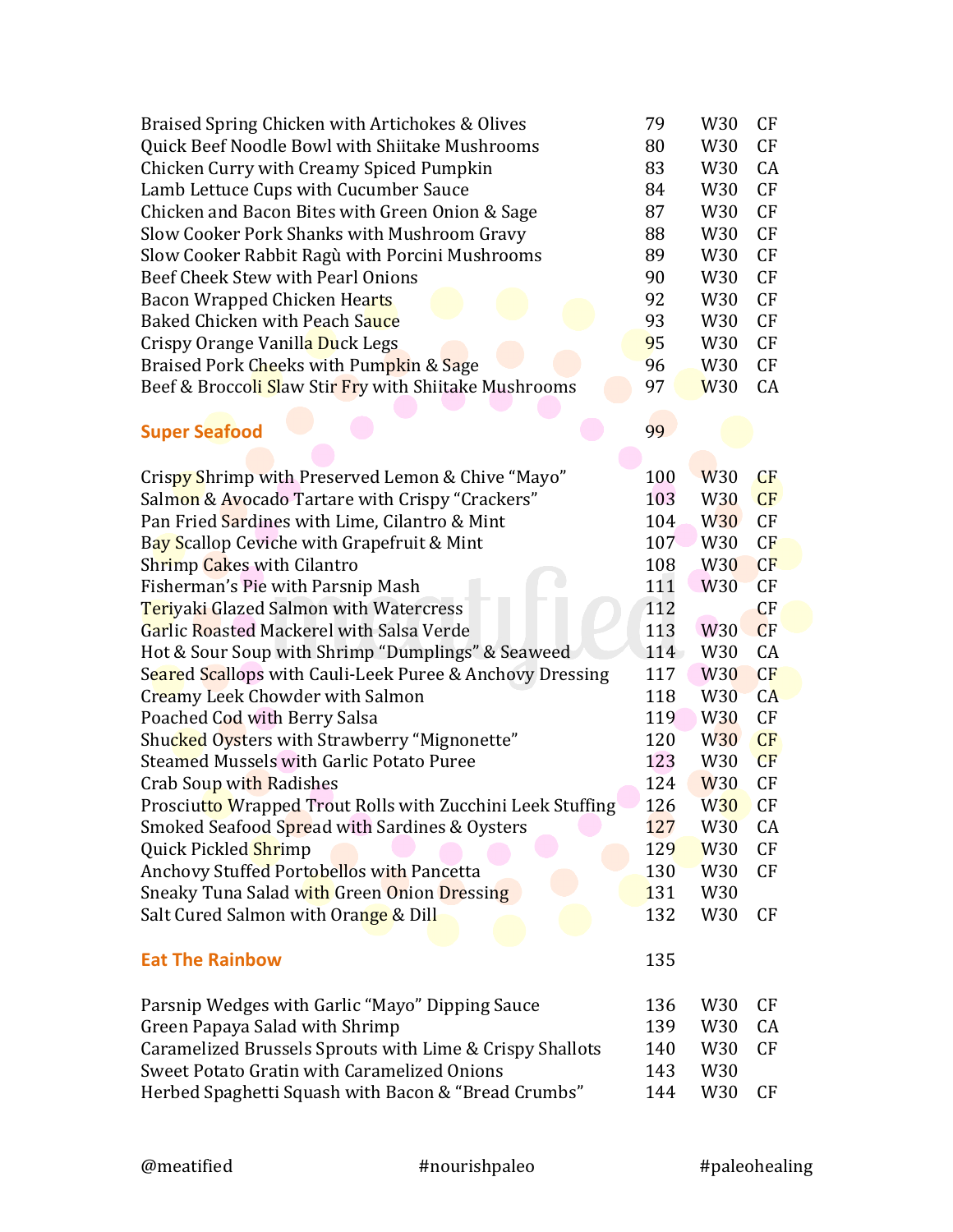| Braised Spring Chicken with Artichokes & Olives            | 79         | W <sub>30</sub> | CF        |
|------------------------------------------------------------|------------|-----------------|-----------|
| Quick Beef Noodle Bowl with Shiitake Mushrooms             | 80         | W <sub>30</sub> | CF        |
| Chicken Curry with Creamy Spiced Pumpkin                   | 83         | W30             | CA        |
| Lamb Lettuce Cups with Cucumber Sauce                      | 84         | W30             | CF        |
| Chicken and Bacon Bites with Green Onion & Sage            | 87         | W <sub>30</sub> | CF        |
| Slow Cooker Pork Shanks with Mushroom Gravy                | 88         | W30             | CF        |
| Slow Cooker Rabbit Ragù with Porcini Mushrooms             | 89         | W30             | CF        |
| Beef Cheek Stew with Pearl Onions                          | 90         | W <sub>30</sub> | CF        |
| Bacon Wrapped Chicken Hearts                               | 92         | W30             | CF        |
| Baked Chicken with Peach Sauce                             | 93         | W30             | CF        |
| Crispy Orange Vanilla Duck Legs                            | 95         | W30             | CF        |
| Braised Pork Cheeks with Pumpkin & Sage                    | 96         | W30             | CF        |
| Beef & Broccoli Slaw Stir Fry with Shiitake Mushrooms      | 97         | <b>W30</b>      | CA        |
| <b>Super Seafood</b>                                       | 99         |                 |           |
|                                                            |            |                 |           |
| Crispy Shrimp with Preserved Lemon & Chive "Mayo"          | 100        | W <sub>30</sub> | CF        |
| Salmon & Avocado Tartare with Crispy "Crackers"            | 103        | W <sub>30</sub> | CF        |
| Pan Fried Sardines with Lime, Cilantro & Mint              | 104        | <b>W30</b>      | CF        |
| Bay Scallop Ceviche with Grapefruit & Mint                 | 107        | W <sub>30</sub> | CF        |
| Shrimp Cakes with Cilantro                                 | 108        | <b>W30</b>      | CF        |
| Fisherman's Pie with Parsnip Mash                          | 111        | <b>W30</b>      | CF        |
| Teriyaki Glazed Salmon with Watercress                     | 112        |                 | CF        |
| Garlic Roasted Mackerel with Salsa Verde                   | 113        | W <sub>30</sub> | CF        |
| Hot & Sour Soup with Shrimp "Dumplings" & Seaweed          | $114-$     | W30             | CA        |
| Seared Scallops with Cauli-Leek Puree & Anchovy Dressing   | 117        | W <sub>30</sub> | CF        |
| Creamy Leek Chowder with Salmon                            | 118        | W <sub>30</sub> | CA        |
| Poached Cod with Berry Salsa                               | 119        | W <sub>30</sub> | CF        |
| Shucked Oysters with Strawberry "Mignonette"               | 120        | <b>W30</b>      | CF        |
| Steamed Mussels with Garlic Potato Puree                   | 123        | W <sub>30</sub> | CF        |
| Crab Soup with Radishes                                    | 124        | <b>W30</b>      | CF        |
| Prosciutto Wrapped Trout Rolls with Zucchini Leek Stuffing | 126        | <b>W30</b>      | CF        |
| Smoked Seafood Spread with Sardines & Oysters              | 127        | W <sub>30</sub> | CA        |
| Quick Pickled Shrimp                                       | 129        | W <sub>30</sub> | CF        |
| <b>Anchovy Stuffed Portobellos with Pancetta</b>           | 130        | W <sub>30</sub> | <b>CF</b> |
| Sneaky Tuna Salad with Green Onion Dressing                | <b>131</b> | W <sub>30</sub> |           |
| Salt Cured Salmon with Orange & Dill                       | 132        | W30             | <b>CF</b> |
| <b>Eat The Rainbow</b>                                     | 135        |                 |           |
| Parsnip Wedges with Garlic "Mayo" Dipping Sauce            | 136        | W <sub>30</sub> | CF        |
| Green Papaya Salad with Shrimp                             | 139        | W30             | CA        |
| Caramelized Brussels Sprouts with Lime & Crispy Shallots   | 140        | W <sub>30</sub> | <b>CF</b> |
| Sweet Potato Gratin with Caramelized Onions                | 143        | W <sub>30</sub> |           |
| Herbed Spaghetti Squash with Bacon & "Bread Crumbs"        | 144        | W30             | CF        |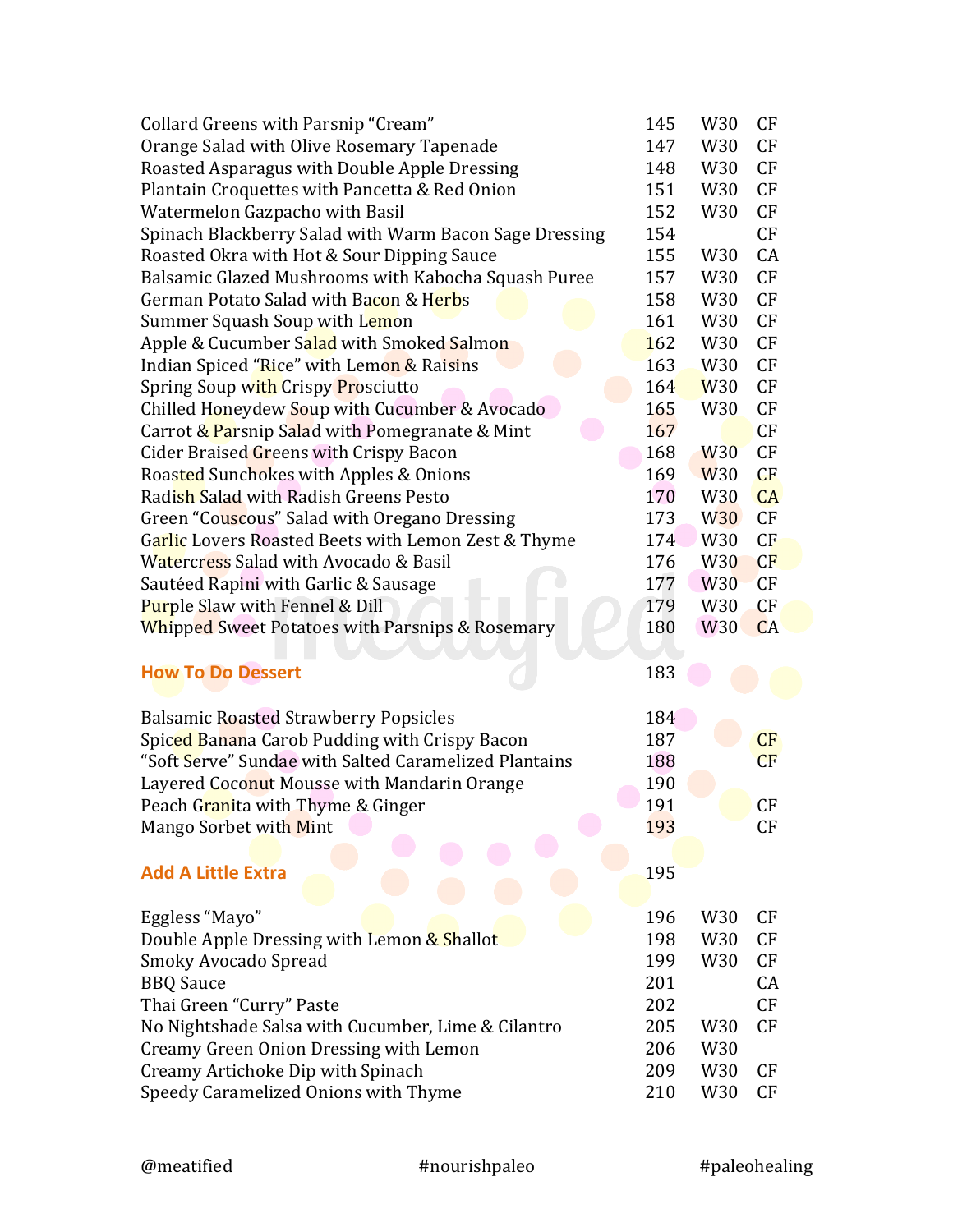| Collard Greens with Parsnip "Cream"                        | 145 | W30             | CF        |
|------------------------------------------------------------|-----|-----------------|-----------|
| Orange Salad with Olive Rosemary Tapenade                  | 147 | W30             | <b>CF</b> |
| Roasted Asparagus with Double Apple Dressing               | 148 | W30             | CF        |
| Plantain Croquettes with Pancetta & Red Onion              | 151 | W30             | CF        |
| Watermelon Gazpacho with Basil                             | 152 | W <sub>30</sub> | CF        |
| Spinach Blackberry Salad with Warm Bacon Sage Dressing     | 154 |                 | CF        |
| Roasted Okra with Hot & Sour Dipping Sauce                 | 155 | W30             | CA        |
| Balsamic Glazed Mushrooms with Kabocha Squash Puree        | 157 | W30             | CF        |
| German Potato Salad with Bacon & Herbs                     | 158 | W30             | CF        |
| Summer Squash Soup with Lemon                              | 161 | W <sub>30</sub> | CF        |
| Apple & Cucumber Salad with Smoked Salmon                  | 162 | W30             | CF        |
| Indian Spiced "Rice" with Lemon & Raisins                  | 163 | W <sub>30</sub> | CF        |
| Spring Soup with Crispy Prosciutto                         | 164 | <b>W30</b>      | CF        |
| Chilled Honeydew Soup with Cucumber & Avocado              | 165 | W <sub>30</sub> | CF        |
| Carrot & Parsnip Salad with Pomegranate & Mint             | 167 |                 | CF        |
| Cider Braised Greens with Crispy Bacon                     | 168 | <b>W30</b>      | CF        |
| Roasted Sunchokes with Apples & Onions                     | 169 | W <sub>30</sub> | CF        |
| Radish Salad with Radish Greens Pesto                      | 170 | W30             | CA        |
| Green "Couscous" Salad with Oregano Dressing               | 173 | <b>W30</b>      | CF        |
| Garlic Lovers Roasted Beets with Lemon Zest & Thyme        | 174 | W30             | CF        |
| Watercress Salad with Avocado & Basil                      | 176 | W <sub>30</sub> | CF        |
| Sautéed Rapini with Garlic & Sausage                       | 177 | W <sub>30</sub> | CF        |
| <b>Purple Slaw with Fennel &amp; Dill</b>                  | 179 | W30             | CF        |
| <b>Whipped Sweet Potatoes with Parsnips &amp; Rosemary</b> | 180 | W <sub>30</sub> | CA        |
|                                                            |     |                 |           |
| <b>How To Do Dessert</b>                                   | 183 |                 |           |
|                                                            |     |                 |           |
| <b>Balsamic Roasted Strawberry Popsicles</b>               | 184 |                 |           |
| Spiced Banana Carob Pudding with Crispy Bacon              | 187 |                 | CF        |
| "Soft Serve" Sundae with Salted Caramelized Plantains      | 188 |                 | CF        |
| Layered Coconut Mousse with Mandarin Orange                | 190 |                 |           |
| Peach G <mark>ran</mark> ita with Thyme & Ginger           | 191 |                 | CF        |
| Mango Sorbet with Mint                                     | 193 |                 | CF        |
|                                                            |     |                 |           |
| <b>Add A Little Extra</b>                                  | 195 |                 |           |
|                                                            |     |                 |           |
| Eggless "Mayo"                                             | 196 | W30             | CF        |
| Double Apple Dressing with Lemon & Shallot                 | 198 | W30             | CF        |
| Smoky Avocado Spread                                       | 199 | W <sub>30</sub> | CF        |
| <b>BBQ</b> Sauce                                           | 201 |                 | CA        |
| Thai Green "Curry" Paste                                   | 202 |                 | CF        |
| No Nightshade Salsa with Cucumber, Lime & Cilantro         | 205 | W <sub>30</sub> | CF        |
| Creamy Green Onion Dressing with Lemon                     | 206 | W30             |           |
| Creamy Artichoke Dip with Spinach                          | 209 | W <sub>30</sub> | CF        |
| Speedy Caramelized Onions with Thyme                       | 210 | W <sub>30</sub> | <b>CF</b> |